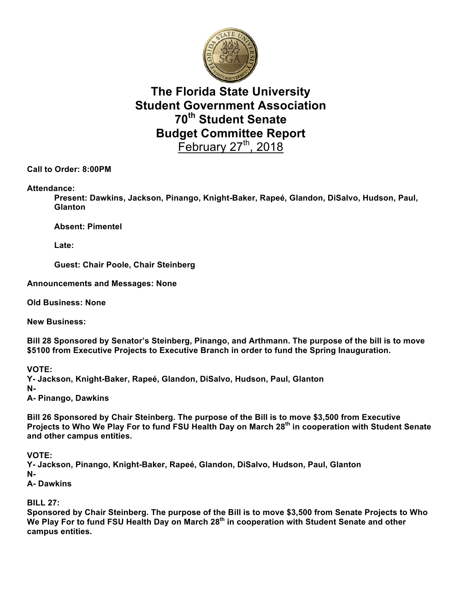

## **The Florida State University Student Government Association 70th Student Senate Budget Committee Report** February  $27<sup>th</sup>$ , 2018

**Call to Order: 8:00PM**

**Attendance:**

**Present: Dawkins, Jackson, Pinango, Knight-Baker, Rapeé, Glandon, DiSalvo, Hudson, Paul, Glanton**

**Absent: Pimentel**

**Late:**

**Guest: Chair Poole, Chair Steinberg**

**Announcements and Messages: None**

**Old Business: None**

**New Business:** 

**Bill 28 Sponsored by Senator's Steinberg, Pinango, and Arthmann. The purpose of the bill is to move \$5100 from Executive Projects to Executive Branch in order to fund the Spring Inauguration.**

**VOTE:**

**Y- Jackson, Knight-Baker, Rapeé, Glandon, DiSalvo, Hudson, Paul, Glanton N-**

**A- Pinango, Dawkins**

**Bill 26 Sponsored by Chair Steinberg. The purpose of the Bill is to move \$3,500 from Executive Projects to Who We Play For to fund FSU Health Day on March 28th in cooperation with Student Senate and other campus entities.**

**VOTE:**

**Y- Jackson, Pinango, Knight-Baker, Rapeé, Glandon, DiSalvo, Hudson, Paul, Glanton N-**

**A- Dawkins**

**BILL 27:**

**Sponsored by Chair Steinberg. The purpose of the Bill is to move \$3,500 from Senate Projects to Who We Play For to fund FSU Health Day on March 28th in cooperation with Student Senate and other campus entities.**